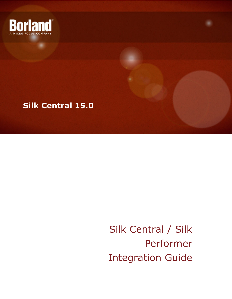



Silk Central / Silk Performer Integration Guide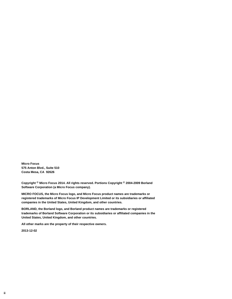**Micro Focus 575 Anton Blvd., Suite 510 Costa Mesa, CA 92626**

**Copyright © Micro Focus 2014. All rights reserved. Portions Copyright © 2004-2009 Borland Software Corporation (a Micro Focus company).**

**MICRO FOCUS, the Micro Focus logo, and Micro Focus product names are trademarks or registered trademarks of Micro Focus IP Development Limited or its subsidiaries or affiliated companies in the United States, United Kingdom, and other countries.**

**BORLAND, the Borland logo, and Borland product names are trademarks or registered trademarks of Borland Software Corporation or its subsidiaries or affiliated companies in the United States, United Kingdom, and other countries.**

**All other marks are the property of their respective owners.**

**2013-12-02**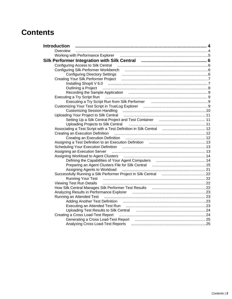## **Contents**

| <b>Introduction</b>                                                                                                                                                                                                            |  |
|--------------------------------------------------------------------------------------------------------------------------------------------------------------------------------------------------------------------------------|--|
| Overview                                                                                                                                                                                                                       |  |
|                                                                                                                                                                                                                                |  |
|                                                                                                                                                                                                                                |  |
| Configuring Access to Silk Central (and the continuum continuum continuum continuum continuum continuum continuum continuum continuum continuum continuum continuum continuum continuum continuum continuum continuum continuu |  |
|                                                                                                                                                                                                                                |  |
|                                                                                                                                                                                                                                |  |
|                                                                                                                                                                                                                                |  |
|                                                                                                                                                                                                                                |  |
| Outlining a Project manufactured by a strategy of the strategy of the strategy of the strategy of the strategy of the strategy of the strategy of the strategy of the strategy of the strategy of the strategy of the strategy |  |
|                                                                                                                                                                                                                                |  |
| Executing a Try Script Run (1990) (1990) 1990 (1991) 1991 (1991) 1991 (1991) 1991 (1991) 1991 (1992) 1991 (199                                                                                                                 |  |
| Executing a Try Script Run from Silk Performer <b>contains the Contract of Try Script Run</b>                                                                                                                                  |  |
| Customizing Your Test Script in TrueLog Explorer [11] [11] Customizing Your Test Script in TrueLog Explorer [1                                                                                                                 |  |
|                                                                                                                                                                                                                                |  |
| Uploading Your Project to Silk Central <b>contral and the Contract of Contract Contract Contract Control</b> 11                                                                                                                |  |
|                                                                                                                                                                                                                                |  |
| Uploading Projects to Silk Central manufactured and the Uploading Projects to Silk Central manufactured and th                                                                                                                 |  |
| Associating a Test Script with a Test Definition in Silk Central <b>Faculation</b> 12                                                                                                                                          |  |
|                                                                                                                                                                                                                                |  |
|                                                                                                                                                                                                                                |  |
|                                                                                                                                                                                                                                |  |
| Scheduling Your Execution Definition <b>contract to the Contract Order of August</b> 13                                                                                                                                        |  |
|                                                                                                                                                                                                                                |  |
|                                                                                                                                                                                                                                |  |
|                                                                                                                                                                                                                                |  |
| Preparing an Agent Clusters File for Silk Central manumumumumumumumum 15                                                                                                                                                       |  |
| Successfully Running a Silk Performer Project in Silk Central <b>manual manual</b> 22                                                                                                                                          |  |
|                                                                                                                                                                                                                                |  |
| Viewing Test Run Details (22) Martin March 22 (23) March 2014 (23) March 2014 (24) March 2014 (24) March 2014                                                                                                                  |  |
| How Silk Central Manages Silk Performer Test Results [11, 11, 11, 11, 11, 11, 11, 11, 22                                                                                                                                       |  |
| Analyzing Results in Performance Explorer [11,111]. Analyzing Results in Performance Explorer [23]                                                                                                                             |  |
|                                                                                                                                                                                                                                |  |
|                                                                                                                                                                                                                                |  |
|                                                                                                                                                                                                                                |  |
| Uploading Test Results to Silk Central <b>manual contract of the Contract Contract</b> 24                                                                                                                                      |  |
|                                                                                                                                                                                                                                |  |
|                                                                                                                                                                                                                                |  |
| Analyzing Cross Load-Test Reports (25) Manual Manuscritics (25) Analyzing Cross Load-Test Reports                                                                                                                              |  |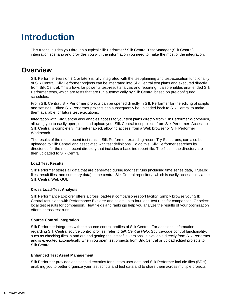# <span id="page-3-0"></span>**Introduction**

This tutorial guides you through a typical Silk Performer / Silk Central Test Manager (Silk Central) integration scenario and provides you with the information you need to make the most of the integration.

### **Overview**

Silk Performer (version 7.1 or later) is fully integrated with the test-planning and test-execution functionality of Silk Central. Silk Performer projects can be integrated into Silk Central test plans and executed directly from Silk Central. This allows for powerful test-result analysis and reporting. It also enables unattended Silk Performer tests, which are tests that are run automatically by Silk Central based on pre-configured schedules.

From Silk Central, Silk Performer projects can be opened directly in Silk Performer for the editing of scripts and settings. Edited Silk Performer projects can subsequently be uploaded back to Silk Central to make them available for future test executions.

Integration with Silk Central also enables access to your test plans directly from Silk Performer Workbench, allowing you to easily open, edit, and upload your Silk Central test projects from Silk Performer. Access to Silk Central is completely Internet-enabled, allowing access from a Web browser or Silk Performer Workbench.

The results of the most recent test runs in Silk Performer, excluding recent Try Script runs, can also be uploaded to Silk Central and associated with test definitions. To do this, Silk Performer searches its directories for the most recent directory that includes a baseline report file. The files in the directory are then uploaded to Silk Central.

#### **Load Test Results**

Silk Performer stores all data that are generated during load test runs (including time series data, TrueLog files, result files, and summary data) in the central Silk Central repository, which is easily accessible via the Silk Central Web GUI.

#### **Cross Load-Test Analysis**

Silk Performance Explorer offers a cross load-test comparison-report facility. Simply browse your Silk Central test plans with Performance Explorer and select up to four load-test runs for comparison. Or select local test results for comparison. Heat fields and rankings help you analyze the results of your optimization efforts across test runs.

#### **Source Control Integration**

Silk Performer integrates with the source control profiles of Silk Central. For additional information regarding Silk Central source control profiles, refer to Silk Central Help. Source-code control functionality, such as checking files in and out and getting the latest file versions, is available directly from Silk Performer and is executed automatically when you open test projects from Silk Central or upload edited projects to Silk Central.

#### **Enhanced Test Asset Management**

Silk Performer provides additional directories for custom user data and Silk Performer include files (BDH) enabling you to better organize your test scripts and test data and to share them across multiple projects.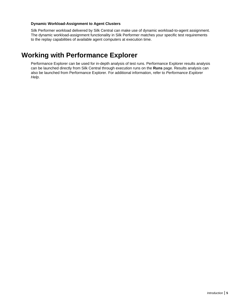#### <span id="page-4-0"></span>**Dynamic Workload-Assignment to Agent Clusters**

Silk Performer workload delivered by Silk Central can make use of dynamic workload-to-agent assignment. The dynamic workload-assignment functionality in Silk Performer matches your specific test requirements to the replay capabilities of available agent computers at execution time.

### **Working with Performance Explorer**

Performance Explorer can be used for in-depth analysis of test runs. Performance Explorer results analysis can be launched directly from Silk Central through execution runs on the **Runs** page. Results analysis can also be launched from Performance Explorer. For additional information, refer to Performance Explorer Help.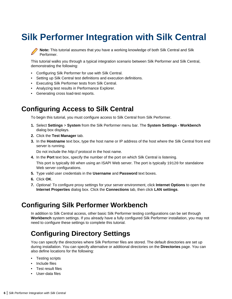# <span id="page-5-0"></span>**Silk Performer Integration with Silk Central**

**Note:** This tutorial assumes that you have a working knowledge of both Silk Central and Silk Performer.

This tutorial walks you through a typical integration scenario between Silk Performer and Silk Central, demonstrating the following:

- Configuring Silk Performer for use with Silk Central.
- Setting up Silk Central test definitions and execution definitions.
- Executing Silk Performer tests from Silk Central.
- Analyzing test results in Performance Explorer.
- Generating cross load-test reports.

### **Configuring Access to Silk Central**

To begin this tutorial, you must configure access to Silk Central from Silk Performer.

- **1.** Select **Settings** > **System** from the Silk Performer menu bar. The **System Settings Workbench** dialog box displays.
- **2.** Click the **Test Manager** tab.
- **3.** In the **Hostname** text box, type the host name or IP address of the host where the Silk Central front end server is running.

Do not include the http:// protocol in the host name.

- **4.** In the **Port** text box, specify the number of the port on which Silk Central is listening. This port is typically 80 when using an ISAPI Web server. The port is typically 19120 for standalone Web server configurations.
- **5.** Type valid user credentials in the **Username** and **Password** text boxes.
- **6.** Click **OK**.
- **7.** Optional: To configure proxy settings for your server environment, click **Internet Options** to open the **Internet Properties** dialog box. Click the **Connections** tab, then click **LAN settings**.

### **Configuring Silk Performer Workbench**

In addition to Silk Central access, other basic Silk Performer testing configurations can be set through **Workbench** system settings. If you already have a fully configured Silk Performer installation, you may not need to configure these settings to complete this tutorial.

### **Configuring Directory Settings**

You can specify the directories where Silk Performer files are stored. The default directories are set up during installation. You can specify alternative or additional directories on the **Directories** page. You can also define locations for the following:

- Testing scripts
- Include files
- Test result files
- User-data files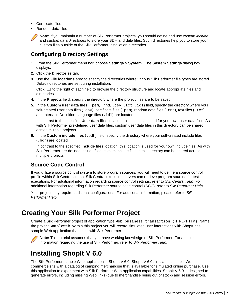- <span id="page-6-0"></span>• Certificate files
- Random-data files

**Note:** If you maintain a number of Silk Performer projects, you should define and use custom include and custom data directories to store your BDH and data files. Such directories help you to store your custom files outside of the Silk Performer installation directories.

### **Configuring Directory Settings**

- **1.** From the Silk Performer menu bar, choose **Settings** > **System** . The **System Settings** dialog box displays.
- **2.** Click the **Directories** tab.
- **3.** Use the **File locations** area to specify the directories where various Silk Performer file types are stored. Default directories are set during installation.

Click **[...]** to the right of each field to browse the directory structure and locate appropriate files and directories.

- **4.** In the **Projects** field, specify the directory where the project files are to be saved.
- **5.** In the **Custom user data files** (.pem, .rnd, .csv, .txt, .idl) field, specify the directory where your self-created user data files (.csv), certificate files (.pem), random data files (.rnd), text files (.txt), and Interface Definition Language files (. idl) are located.

In contrast to the specified **User data files** location, this location is used for your own user data files. As with Silk Performer pre-defined user data files, custom user data files in this directory can be shared across multiple projects.

**6.** In the **Custom include files** (.bdh) field, specify the directory where your self-created include files (.bdh) are located.

In contrast to the specified **Include files** location, this location is used for your own include files. As with Silk Performer pre-defined include files, custom include files in this directory can be shared across multiple projects.

### **Source Code Control**

If you utilize a source control system to store program sources, you will need to define a source control profile within Silk Central so that Silk Central execution servers can retrieve program sources for test executions. For additional information regarding source control settings, refer to Silk Central Help. For additional information regarding Silk Performer source code control (SCC), refer to Silk Performer Help.

Your project may require additional configurations. For additional information, please refer to Silk Performer Help.

## **Creating Your Silk Performer Project**

Create a Silk Performer project of application type Web business transaction (HTML/HTTP). Name the project SampleWeb. Within this project you will record simulated user interactions with ShopIt, the sample Web application that ships with Silk Performer.



**Note:** This tutorial assumes that you have working knowledge of Silk Performer. For additional information regarding the use of Silk Performer, refer to Silk Performer Help.

## **Installing ShopIt V 6.0**

The Silk Performer sample Web application is ShopIt V 6.0. ShopIt V 6.0 simulates a simple Web ecommerce site with a catalog of camping merchandise that is available for simulated online purchase. Use this application to experiment with Silk Performer Web-application capabilities. ShopIt V 6.0 is designed to generate errors, including missing Web links (due to merchandise being out of stock) and session errors.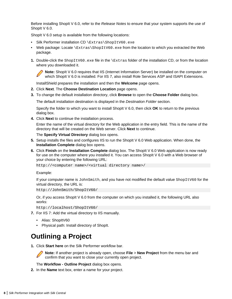<span id="page-7-0"></span>Before installing ShopIt V 6.0, refer to the Release Notes to ensure that your system supports the use of ShopIt V 6.0.

ShopIt V 6.0 setup is available from the following locations:

- Silk Performer installation CD \Extras\ShopItV60.exe
- Web package: Locate \Extras\ShopItV60.exe from the location to which you extracted the Web package.
- **1.** Double-click the ShopItV60.exe file in the \Extras folder of the installation CD, or from the location where you downloaded it.

**Note:** ShopIt V 6.0 requires that IIS (Internet Information Server) be installed on the computer on which ShopIt V 6.0 is installed. For IIS 7, also install Role Services ASP and ISAPI Extensions.

InstallShield prepares the installation and then the **Welcome** page opens.

- **2.** Click **Next**. The **Choose Destination Location** page opens.
- **3.** To change the default installation directory, click **Browse** to open the **Choose Folder** dialog box.

The default installation destination is displayed in the Destination Folder section.

Specify the folder to which you want to install ShopIt V 6.0, then click **OK** to return to the previous dialog box.

**4.** Click **Next** to continue the installation process.

Enter the name of the virtual directory for the Web application in the entry field. This is the name of the directory that will be created on the Web server. Click **Next** to continue.

The **Specify Virtual Directory** dialog box opens.

- **5.** Setup installs the files and configures IIS to run the ShopIt V 6.0 Web application. When done, the **Installation Complete** dialog box opens.
- **6.** Click **Finish** on the **Installation Complete** dialog box. The ShopIt V 6.0 Web application is now ready for use on the computer where you installed it. You can access ShopIt  $\vee$  6.0 with a Web browser of your choice by entering the following URL:

http://<computer name>/<virtual directory name>/

Example:

If your computer name is JohnSmith, and you have not modified the default value ShopItV60 for the virtual directory, the URL is:

http://JohnSmith/ShopItV60/

Or, if you access ShopIt V 6.0 from the computer on which you installed it, the following URL also works:

http://localhost/ShopItV60/

- **7.** For IIS 7: Add the virtual directory to IIS manually.
	- Alias: ShopItV60
	- Physical path: Install directory of ShopIt.

## **Outlining a Project**

**1.** Click **Start here** on the Silk Performer workflow bar.



**Note:** If another project is already open, choose **File** > **New Project** from the menu bar and confirm that you want to close your currently open project.

The **Workflow - Outline Project** dialog box opens.

**2.** In the **Name** text box, enter a name for your project.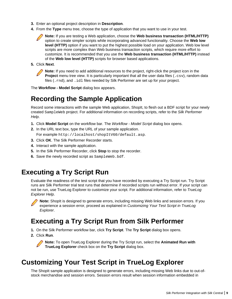- <span id="page-8-0"></span>**3.** Enter an optional project description in **Description**.
- **4.** From the **Type** menu tree, choose the type of application that you want to use in your test.

**Note:** If you are testing a Web application, choose the **Web business transaction (HTML/HTTP)** option to create simpler scripts while incorporating advanced functionality. Choose the **Web low level (HTTP)** option if you want to put the highest possible load on your application. Web low level scripts are more complex than Web business transaction scripts, which require more effort to customize. It is recommended that you use the **Web business transaction (HTML/HTTP)** instead of the **Web low level (HTTP)** scripts for browser based applications.

**5.** Click **Next**.

**Note:** If you need to add additional resources to the project, right-click the project icon in the **Project** menu tree view. It is particularly important that all the user data files (.csv), random data files (. rnd), and . idl files needed by Silk Performer are set up for your project.

The **Workflow - Model Script** dialog box appears.

## **Recording the Sample Application**

Record some interactions with the sample Web application, ShopIt, to flesh out a BDF script for your newly created SampleWeb project. For additional information on recording scripts, refer to the Silk Performer Help.

- **1.** Click **Model Script** on the workflow bar. The Workflow Model Script dialog box opens.
- **2.** In the URL text box, type the URL of your sample application. For example http://localhost/shopItV60/default.asp.
- **3.** Click **OK**. The Silk Performer Recorder starts.
- **4.** Interact with the sample application.
- **5.** In the Silk Performer Recorder, click **Stop** to stop the recorder.
- **6.** Save the newly recorded script as SampleWeb.bdf.

## **Executing a Try Script Run**

Evaluate the readiness of the test script that you have recorded by executing a Try Script run. Try Script runs are Silk Performer trial test runs that determine if recorded scripts run without error. If your script can not be run, use TrueLog Explorer to customize your script. For additional information, refer to TrueLog Explorer Help.



**Note:** ShopIt is designed to generate errors, including missing Web links and session errors. If you experience a session error, proceed as explained in Customizing Your Test Script in TrueLog Explorer.

## **Executing a Try Script Run from Silk Performer**

- **1.** On the Silk Performer workflow bar, click **Try Script**. The **Try Script** dialog box opens.
- **2.** Click **Run**.

**Note:** To open TrueLog Explorer during the Try Script run, select the **Animated Run with TrueLog Explorer** check box on the **Try Script** dialog box.

## **Customizing Your Test Script in TrueLog Explorer**

The ShopIt sample application is designed to generate errors, including missing Web links due to out-ofstock merchandise and session errors. Session errors result when session information embedded in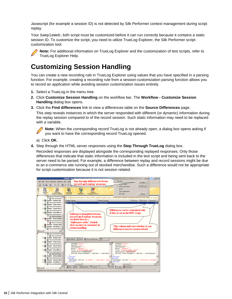<span id="page-9-0"></span>Javascript (for example a session ID) is not detected by Silk Performer context management during script replay.

Your SampleWeb. bdh script must be customized before it can run correctly because it contains a static session ID. To customize the script, you need to utilize TrueLog Explorer, the Silk Performer scriptcustomization tool.



**Note:** For additional information on TrueLog Explorer and the customization of test scripts, refer to TrueLog Explorer Help.

## **Customizing Session Handling**

You can create a new recording rule in TrueLog Explorer using values that you have specified in a parsing function. For example, creating a recording rule from a session-customization parsing function allows you to record an application while avoiding session customization issues entirely.

- **1.** Select a TrueLog in the menu tree.
- **2.** Click **Customize Session Handling** on the workflow bar. The **Workflow Customize Session Handling** dialog box opens.
- **3.** Click the **Find differences** link to view a differences table on the **Source Differences** page.

This step reveals instances in which the server responded with different (or dynamic) information during the replay session compared to of the record session. Such static information may need to be replaced with a variable.

**Note:** When the corresponding record TrueLog is not already open, a dialog box opens asking if you want to have the corresponding record TrueLog opened.

- a) Click **OK**.
- **4.** Step through the HTML server responses using the **Step Through TrueLog** dialog box.

Recorded responses are displayed alongside the corresponding replayed responses. Only those differences that indicate that static information is included in the test script and being sent back to the server need to be parsed. For example, a difference between replay and record sessions might be due to an e-commerce site running out of stocked merchandise. Such a difference would not be appropriate for script customization because it is not session related.

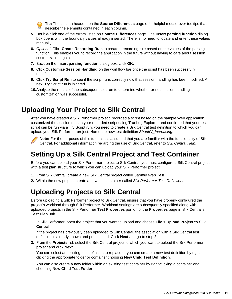**Tip:** The column headers on the **Source Differences** page offer helpful mouse-over tooltips that describe the elements contained in each column.

- <span id="page-10-0"></span>**5.** Double-click one of the errors listed on **Source Differences** page. The **Insert parsing function** dialog box opens with the boundary values already inserted. There is no need to locate and enter these values manually.
- **6.** Optional: Click **Create Recording Rule** to create a recording rule based on the values of the parsing function. This enables you to record the application in the future without having to care about session customization again.
- **7.** Back on the **Insert parsing function** dialog box, click **OK**.
- **8.** Click **Customize Session Handling** on the workflow bar once the script has been successfully modified.
- **9.** Click **Try Script Run** to see if the script runs correctly now that session handling has been modified. A new Try Script run is initiated.
- **10.**Analyze the results of the subsequent test run to determine whether or not session handling customization was successful.

## **Uploading Your Project to Silk Central**

After you have created a Silk Performer project, recorded a script based on the sample Web application, customized the session data in your recorded script using TrueLog Explorer, and confirmed that your test script can be run via a Try Script run, you need to create a Silk Central test definition to which you can upload your Silk Performer project. Name the new test definition ShopItV Increasing.



**Note:** For the purposes of this tutorial it is assumed that you are familiar with the functionality of Silk Central. For additional information regarding the use of Silk Central, refer to Silk Central Help.

## **Setting Up a Silk Central Project and Test Container**

Before you can upload your Silk Performer project to Silk Central, you must configure a Silk Central project with a test plan structure to which you can upload your Silk Performer project.

- **1.** From Silk Central, create a new Silk Central project called Sample Web Test.
- **2.** Within the new project, create a new test container called Silk Performer Test Definitions.

## **Uploading Projects to Silk Central**

Before uploading a Silk Performer project to Silk Central, ensure that you have properly configured the project's workload through Silk Performer. Workload settings are subsequently specified along with uploaded projects in the Silk Performer **Test Properties** portion of the **Properties** page in Silk Central's **Test Plan** unit.

**1.** In Silk Performer, open the project that you want to upload and choose **File** > **Upload Project to Silk Central** .

If the project has previously been uploaded to Silk Central, the association with a Silk Central test definition is already known and preselected. Click **Next** and go to step 3.

**2.** From the **Projects** list, select the Silk Central project to which you want to upload the Silk Performer project and click **Next**.

You can select an existing test definition to replace or you can create a new test definition by rightclicking the appropriate folder or container choosing **New Child Test Definition**.

You can also create a new folder within an existing test container by right-clicking a container and choosing **New Child Test Folder**.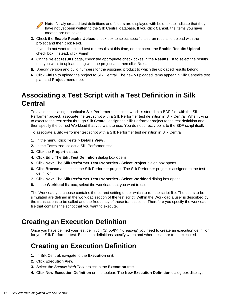<span id="page-11-0"></span>**Note:** Newly created test definitions and folders are displayed with bold text to indicate that they have not yet been written to the Silk Central database. If you click **Cancel**, the items you have created are not saved.

**3.** Check the **Enable Results Upload** check box to select specific test run results to upload with the project and then click **Next**.

If you do not want to upload test run results at this time, do not check the **Enable Results Upload** check box. Instead, click **Finish**.

- **4.** On the **Select results** page, check the appropriate check boxes in the **Results** list to select the results that you want to upload along with the project and then click **Next**.
- **5.** Specify version and build numbers for the assigned product to which the uploaded results belong.
- **6.** Click **Finish** to upload the project to Silk Central. The newly uploaded items appear in Silk Central's test plan and **Project** menu tree.

## **Associating a Test Script with a Test Definition in Silk Central**

To avoid associating a particular Silk Performer test script, which is stored in a BDF file, with the Silk Performer project, associate the test script with a Silk Performer test definition in Silk Central. When trying to execute the test script through Silk Central, assign the Silk Performer project to the test definition and then specify the correct Workload that you want to use. You do not directly point to the BDF script itself.

To associate a Silk Performer test script with a Silk Performer test definition in Silk Central:

- **1.** In the menu, click **Tests** > **Details View** .
- **2.** In the **Tests** tree, select a Silk Performer test.
- **3.** Click the **Properties** tab.
- **4.** Click **Edit**. The **Edit Test Definition** dialog box opens.
- **5.** Click **Next**. The **Silk Performer Test Properties Select Project** dialog box opens.
- **6.** Click **Browse** and select the Silk Performer project. The Silk Performer project is assigned to the test definition.
- **7.** Click **Next**. The **Silk Performer Test Properties Select Workload** dialog box opens.
- **8.** In the **Workload** list box, select the workload that you want to use.

The Workload you choose contains the correct setting under which to run the script file. The users to be simulated are defined in the workload section of the test script. Within the Workload a user is described by the transactions to be called and the frequency of those transactions. Therefore you specify the workload file that contains the script that you want to execute.

## **Creating an Execution Definition**

Once you have defined your test definition (ShopItV\_Increasing) you need to create an execution definition for your Silk Performer test. Execution definitions specify when and where tests are to be executed.

## **Creating an Execution Definition**

- **1.** In Silk Central, navigate to the **Execution** unit.
- **2.** Click **Execution View**.
- **3.** Select the Sample Web Test project in the **Execution** tree.
- **4.** Click **New Execution Definition** on the toolbar. The **New Execution Definition** dialog box displays.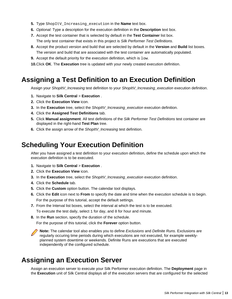- <span id="page-12-0"></span>**5.** Type ShopItV Increasing execution in the **Name** text box.
- **6.** Optional: Type a description for the execution definition in the **Description** text box.
- **7.** Accept the test container that is selected by default in the **Test Container** list box. The only test container that exists in this project is Silk Performer Test Definitions.
- **8.** Accept the product version and build that are selected by default in the **Version** and **Build** list boxes. The version and build that are associated with the test container are automatically populated.
- **9.** Accept the default priority for the execution definition, which is low.
- **10.**Click **OK**. The **Execution** tree is updated with your newly created execution definition.

### **Assigning a Test Definition to an Execution Definition**

Assign your ShopItV\_Increasing test definition to your ShopItV\_Increasing\_execution execution definition.

- **1.** Navigate to **Silk Central** > **Execution** .
- **2.** Click the **Execution View** icon.
- **3.** In the **Execution** tree, select the ShopItV\_Increasing\_execution execution definition.
- **4.** Click the **Assigned Test Definitions** tab.
- **5.** Click **Manual assignment**. All test definitions of the Silk Performer Test Definitions test container are displayed in the right-hand **Test Plan** tree.
- **6.** Click the assign arrow of the ShopItV Increasing test definition.

### **Scheduling Your Execution Definition**

After you have assigned a test definition to your execution definition, define the schedule upon which the execution definition is to be executed.

- **1.** Navigate to Silk Central > Execution .
- **2.** Click the **Execution View** icon.
- **3.** In the **Execution** tree, select the ShopItV\_Increasing\_execution execution definition.
- **4.** Click the **Schedule** tab.
- **5.** Click the **Custom** option button. The calendar tool displays.
- **6.** Click the **Edit** icon next to **From** to specify the date and time when the execution schedule is to begin. For the purpose of this tutorial, accept the default settings.
- **7.** From the Interval list boxes, select the interval at which the test is to be executed.
	- To execute the test daily, select 1 for day, and 0 for hour and minute.
- **8.** In the **Run** section, specify the duration of the schedule.

For the purpose of this tutorial, click the **Forever** option button.

**Note:** The calendar tool also enables you to define Exclusions and Definite Runs. Exclusions are regularly occuring time periods during which executions are not executed, for example weeklyplanned system downtime or weekends. Definite Runs are executions that are executed independently of the configured schedule.

## **Assigning an Execution Server**

Assign an execution server to execute your Silk Performer execution definition. The **Deployment** page in the **Execution** unit of Silk Central displays all of the execution servers that are configured for the selected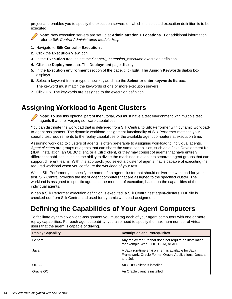<span id="page-13-0"></span>project and enables you to specify the execution servers on which the selected execution definition is to be executed.



**Note:** New execution servers are set up at **Administration** > **Locations** . For additional information, refer to Silk Central Administration Module Help.

- **1.** Navigate to **Silk Central** > **Execution** .
- **2.** Click the **Execution View** icon.
- **3.** In the **Execution** tree, select the ShopItV Increasing execution execution definition.
- **4.** Click the **Deployment** tab. The **Deployment** page displays.
- **5.** In the **Execution environment** section of the page, click **Edit**. The **Assign Keywords** dialog box displays.
- **6.** Select a keyword from or type a new keyword into the **Select or enter keywords** list box. The keyword must match the keywords of one or more execution servers.
- **7.** Click **OK**. The keywords are assigned to the execution definition.

## **Assigning Workload to Agent Clusters**

**Note:** To use this optional part of the tutorial, you must have a test environment with multiple test agents that offer varying software capabilities.

You can distribute the workload that is delivered from Silk Central to Silk Performer with dynamic workloadto-agent assignment. The dynamic workload-assignment functionality of Silk Performer matches your specific test requirements to the replay capabilities of the available agent computers at execution time.

Assigning workload to clusters of agents is often preferable to assigning workload to individual agents. Agent clusters are groups of agents that can share the same capabilities, such as a Java Development Kit (JDK) installation, an ODBC client, or a Citrix client, or they may consist of agents that have entirely different capabilities, such as the ability to divide the machines in a lab into separate agent groups that can support different teams. With this approach, you select a cluster of agents that is capable of executing the required workload when you configure the workload of your test.

Within Silk Performer you specify the name of an agent cluster that should deliver the workload for your test. Silk Central provides the list of agent computers that are assigned to the specified cluster. The workload is assigned to specific agents at the moment of execution, based on the capabilities of the individual agents.

When a Silk Performer execution definition is executed, a Silk Central test agent-clusters XML file is checked out from Silk Central and used for dynamic workload-assignment.

## **Defining the Capabilities of Your Agent Computers**

To facilitate dynamic workload-assignment you must tag each of your agent computers with one or more replay capabilities. For each agent capability, you also need to specify the maximum number of virtual users that the agent is capable of driving.

| <b>Replay Capability</b> | <b>Description and Prerequisites</b>                                                                                    |
|--------------------------|-------------------------------------------------------------------------------------------------------------------------|
| General                  | Any replay feature that does not require an installation,<br>for example Web, IIOP, COM, or ADO.                        |
| Java                     | A Java run-time environment is available for Java<br>Framework, Oracle Forms, Oracle Applications, Jacada,<br>and Jolt. |
| <b>ODBC</b>              | An ODBC client is installed.                                                                                            |
| Oracle OCI               | An Oracle client is installed.                                                                                          |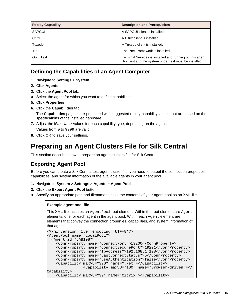<span id="page-14-0"></span>

| <b>Replay Capability</b> | <b>Description and Prerequisites</b>                                                                                |
|--------------------------|---------------------------------------------------------------------------------------------------------------------|
| SAPGUI                   | A SAPGUI client is installed.                                                                                       |
| Citrix                   | A Citrix client is installed.                                                                                       |
| Tuxedo                   | A Tuxedo client is installed.                                                                                       |
| .Net                     | The .Net Framework is installed.                                                                                    |
| <b>Guil Test</b>         | Terminal Services is installed and running on this agent.<br>Silk Test and the system under test must be installed. |

### **Defining the Capabilities of an Agent Computer**

- **1.** Navigate to **Settings** > **System** .
- **2.** Click **Agents**.
- **3.** Click the **Agent Pool** tab.
- **4.** Select the agent for which you want to define capabilities.
- **5.** Click **Properties**.
- **6.** Click the **Capabilities** tab.

The **Capabilities** page is pre-populated with suggested replay-capability values that are based on the specifications of the installed hardware.

- **7.** Adjust the **Max. User** values for each capability type, depending on the agent.
- Values from 0 to 9999 are valid.
- **8.** Click **OK** to save your settings.

### **Preparing an Agent Clusters File for Silk Central**

This section describes how to prepare an agent clusters file for Silk Central.

### **Exporting Agent Pool**

Before you can create a Silk Central test-agent cluster file, you need to output the connection properties, capabilities, and system information of the available agents in your agent pool.

- **1.** Navigate to **System** > **Settings** > **Agents** > **Agent Pool** .
- **2.** Click the **Export Agent Pool** button.
- **3.** Specify an appropriate path and filename to save the contents of your agent pool as an XML file.

#### **Example agent pool file**

This XML file includes an AgentPool root element. Within the root element are Agent elements, one for each agent in the agent pool. Within each Agent element are elements that convey the connection properties, capabilities, and system information of that agent.

```
<?xml version='1.0' encoding='UTF-8'?>
<AgentPool name="LocalPool">
  <Agent id="LAB108">
     <ConnProperty name="ConnectPort">19200</ConnProperty>
     <ConnProperty name="ConnectSecurePort">19201</ConnProperty>
     <ConnProperty name="IpAddress">192.168.1.108</ConnProperty>
     <ConnProperty name="LastConnectStatus">5</ConnProperty>
     <ConnProperty name="UseAuthentication">false</ConnProperty>
     <Capability maxVU="390" name=".Net"></Capability>
                 <Capability maxVU="100" name="Browser-driven"></
Capability>
    <Capability maxVU="39" name="Citrix"></Capability>
```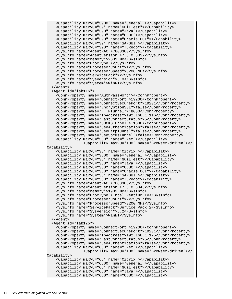```
 <Capability maxVU="3900" name="General"></Capability>
     <Capability maxVU="39" name="GuiLTest"></Capability>
     <Capability maxVU="390" name="Java"></Capability>
     <Capability maxVU="390" name="ODBC"></Capability>
     <Capability maxVU="390" name="Oracle OCI"></Capability>
     <Capability maxVU="39" name="SAPGUI"></Capability>
     <Capability maxVU="390" name="Tuxedo"></Capability>
     <SysInfo name="AgentRAC">7803300</SysInfo>
     <SysInfo name="AgentVersion">7.8.0.3332</SysInfo>
     <SysInfo name="Memory">2039 MB</SysInfo>
     <SysInfo name="ProcType"></SysInfo>
     <SysInfo name="ProcessorCount">1</SysInfo>
     <SysInfo name="ProcessorSpeed">3200 MHz</SysInfo>
     <SysInfo name="ServicePack"></SysInfo>
     <SysInfo name="SysVersion">5.0</SysInfo>
     <SysInfo name="System">WinNT</SysInfo>
   </Agent>
   <Agent id="lab116">
     <ConnProperty name="AuthPassword"></ConnProperty>
     <ConnProperty name="ConnectPort">19200</ConnProperty>
     <ConnProperty name="ConnectSecurePort">19201</ConnProperty>
     <ConnProperty name="EncryptionSSL">false</ConnProperty>
     <ConnProperty name="HTTPTunnel">:8080</ConnProperty>
     <ConnProperty name="IpAddress">192.168.1.116</ConnProperty>
     <ConnProperty name="LastConnectStatus">5</ConnProperty>
     <ConnProperty name="SOCKSTunnel">:1080</ConnProperty>
     <ConnProperty name="UseAuthentication">false</ConnProperty>
     <ConnProperty name="UseHttpTunnel">false</ConnProperty>
     <ConnProperty name="UseSocksTunnel">false</ConnProperty>
     <Capability maxVU="380" name=".Net"></Capability>
                 <Capability maxVU="100" name="Browser-driven"></
Capability>
     <Capability maxVU="38" name="Citrix"></Capability>
     <Capability maxVU="3800" name="General"></Capability>
     <Capability maxVU="38" name="GuiLTest"></Capability>
     <Capability maxVU="380" name="Java"></Capability>
     <Capability maxVU="380" name="ODBC"></Capability>
     <Capability maxVU="380" name="Oracle OCI"></Capability>
     <Capability maxVU="38" name="SAPGUI"></Capability>
     <Capability maxVU="380" name="Tuxedo"></Capability>
     <SysInfo name="AgentRAC">7803300</SysInfo>
     <SysInfo name="AgentVersion">7.8.0.3343</SysInfo>
     <SysInfo name="Memory">1983 MB</SysInfo>
     <SysInfo name="ProcType">Intel Pentium IV</SysInfo>
     <SysInfo name="ProcessorCount">2</SysInfo>
     <SysInfo name="ProcessorSpeed">3200 MHz</SysInfo>
     <SysInfo name="ServicePack">Service Pack 2</SysInfo>
     <SysInfo name="SysVersion">5.2</SysInfo>
     <SysInfo name="System">WinNT</SysInfo>
  </Agent>
  <Agent id="lab125">
     <ConnProperty name="ConnectPort">19200</ConnProperty>
     <ConnProperty name="ConnectSecurePort">19201</ConnProperty>
     <ConnProperty name="IpAddress">192.168.1.125</ConnProperty>
     <ConnProperty name="LastConnectStatus">5</ConnProperty>
     <ConnProperty name="UseAuthentication">false</ConnProperty>
     <Capability maxVU="650" name=".Net"></Capability>
                 <Capability maxVU="100" name="Browser-driven"></
Capability>
     <Capability maxVU="65" name="Citrix"></Capability>
     <Capability maxVU="6500" name="General"></Capability>
     <Capability maxVU="65" name="GuiLTest"></Capability>
     <Capability maxVU="650" name="Java"></Capability>
     <Capability maxVU="650" name="ODBC"></Capability>
```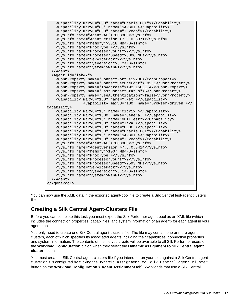```
 <Capability maxVU="650" name="Oracle OCI"></Capability>
     <Capability maxVU="65" name="SAPGUI"></Capability>
     <Capability maxVU="650" name="Tuxedo"></Capability>
     <SysInfo name="AgentRAC">7803300</SysInfo>
     <SysInfo name="AgentVersion">7.8.0.3371</SysInfo>
     <SysInfo name="Memory">3318 MB</SysInfo>
     <SysInfo name="ProcType"></SysInfo>
     <SysInfo name="ProcessorCount">2</SysInfo>
     <SysInfo name="ProcessorSpeed">3000 MHz</SysInfo>
     <SysInfo name="ServicePack"></SysInfo>
     <SysInfo name="SysVersion">5.2</SysInfo>
     <SysInfo name="System">WinNT</SysInfo>
   </Agent>
  <Agent id="lab47">
     <ConnProperty name="ConnectPort">19200</ConnProperty>
     <ConnProperty name="ConnectSecurePort">19201</ConnProperty>
     <ConnProperty name="IpAddress">192.168.1.47</ConnProperty>
     <ConnProperty name="LastConnectStatus">5</ConnProperty>
     <ConnProperty name="UseAuthentication">false</ConnProperty>
     <Capability maxVU="180" name=".Net"></Capability>
                 <Capability maxVU="100" name="Browser-driven"></
Capability>
     <Capability maxVU="18" name="Citrix"></Capability>
     <Capability maxVU="1800" name="General"></Capability>
     <Capability maxVU="18" name="GuiLTest"></Capability>
     <Capability maxVU="180" name="Java"></Capability>
     <Capability maxVU="180" name="ODBC"></Capability>
     <Capability maxVU="180" name="Oracle OCI"></Capability>
     <Capability maxVU="18" name="SAPGUI"></Capability>
     <Capability maxVU="180" name="Tuxedo"></Capability>
     <SysInfo name="AgentRAC">7803300</SysInfo>
     <SysInfo name="AgentVersion">7.8.0.3414</SysInfo>
     <SysInfo name="Memory">1007 MB</SysInfo>
     <SysInfo name="ProcType"></SysInfo>
     <SysInfo name="ProcessorCount">2</SysInfo>
     <SysInfo name="ProcessorSpeed">2593 MHz</SysInfo>
     <SysInfo name="ServicePack"></SysInfo>
     <SysInfo name="SysVersion">5.1</SysInfo>
     <SysInfo name="System">WinNT</SysInfo>
  </Agent>
</AgentPool>
```
You can now use the XML data in the exported agent-pool file to create a Silk Central test-agent clusters file.

### **Creating a Silk Central Agent-Clusters File**

Before you can complete this task you must export the Silk Performer agent pool as an XML file (which includes the connection properties, capabilities, and system information of an agent) for each agent in your agent pool.

You only need to create one Silk Central agent-clusters file. The file may contain one or more agent clusters, each of which specifies its associated agents including their capabilities, connection properties and system information. The contents of the file you create will be available to all Silk Performer users on the **Workload Configuration** dialog when they select the **Dynamic assignment to Silk Central agent cluster** option.

You must create a Silk Central agent-clusters file if you intend to run your test against a Silk Central agent cluster (this is configured by clicking the Dynamic assignment to Silk Central agent cluster button on the **Workload Configuration** > **Agent Assignment** tab). Workloads that use a Silk Central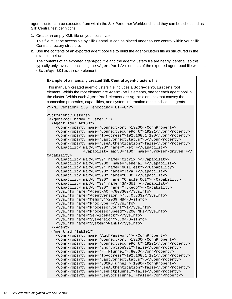agent cluster can be executed from within the Silk Performer Workbench and they can be scheduled as Silk Central test definitions.

**1.** Create an empty XML file on your local system.

This file must be accessible by Silk Central. It can be placed under source control within your Silk Central directory structure.

**2.** Use the contents of an exported agent pool file to build the agent-clusters file as structured in the example below.

The contents of an exported agent-pool file and the agent-clusters file are nearly identical, so this typically only involves enclosing the <AgentPool/> elements of the exported agent-pool file within a <SctmAgentClusters/> element.

#### **Example of a manually created Silk Central agent-clusters file**

This manually created agent-clusters file includes a SctmAgentClusters root element. Within the root element are AgentPool elements, one for each agent pool in the cluster. Within each AgentPool element are Agent elements that convey the connection properties, capabilities, and system information of the individual agents.

```
<?xml version='1.0' encoding='UTF-8'?>
```

```
<SctmAgentClusters>
  <AgentPool name="cluster_1">
  <Agent id="LAB100">
     <ConnProperty name="ConnectPort">19200</ConnProperty>
     <ConnProperty name="ConnectSecurePort">19201</ConnProperty>
     <ConnProperty name="IpAddress">192.168.1.100</ConnProperty>
     <ConnProperty name="LastConnectStatus">5</ConnProperty>
     <ConnProperty name="UseAuthentication">false</ConnProperty>
     <Capability maxVU="390" name=".Net"></Capability>
                 <Capability maxVU="100" name="Browser-driven"></
Capability>
     <Capability maxVU="39" name="Citrix"></Capability>
     <Capability maxVU="3900" name="General"></Capability>
     <Capability maxVU="39" name="GuiLTest"></Capability>
     <Capability maxVU="390" name="Java"></Capability>
     <Capability maxVU="390" name="ODBC"></Capability>
     <Capability maxVU="390" name="Oracle OCI"></Capability>
     <Capability maxVU="39" name="SAPGUI"></Capability>
     <Capability maxVU="390" name="Tuxedo"></Capability>
     <SysInfo name="AgentRAC">7803300</SysInfo>
     <SysInfo name="AgentVersion">7.8.0.3332</SysInfo>
     <SysInfo name="Memory">2039 MB</SysInfo>
     <SysInfo name="ProcType"></SysInfo>
     <SysInfo name="ProcessorCount">1</SysInfo>
     <SysInfo name="ProcessorSpeed">3200 MHz</SysInfo>
     <SysInfo name="ServicePack"></SysInfo>
     <SysInfo name="SysVersion">5.0</SysInfo>
     <SysInfo name="System">WinNT</SysInfo>
  </Agent>
  <Agent id="lab101">
     <ConnProperty name="AuthPassword"></ConnProperty>
     <ConnProperty name="ConnectPort">19200</ConnProperty>
     <ConnProperty name="ConnectSecurePort">19201</ConnProperty>
     <ConnProperty name="EncryptionSSL">false</ConnProperty>
     <ConnProperty name="HTTPTunnel">:8080</ConnProperty>
     <ConnProperty name="IpAddress">192.168.1.101</ConnProperty>
     <ConnProperty name="LastConnectStatus">5</ConnProperty>
     <ConnProperty name="SOCKSTunnel">:1080</ConnProperty>
     <ConnProperty name="UseAuthentication">false</ConnProperty>
     <ConnProperty name="UseHttpTunnel">false</ConnProperty>
     <ConnProperty name="UseSocksTunnel">false</ConnProperty>
```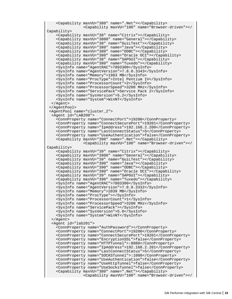```
 <Capability maxVU="380" name=".Net"></Capability>
                 <Capability maxVU="100" name="Browser-driven"></
Capability>
    <Capability maxVU="38" name="Citrix"></Capability>
     <Capability maxVU="3800" name="General"></Capability>
     <Capability maxVU="38" name="GuiLTest"></Capability>
     <Capability maxVU="380" name="Java"></Capability>
     <Capability maxVU="380" name="ODBC"></Capability>
     <Capability maxVU="380" name="Oracle OCI"></Capability>
     <Capability maxVU="38" name="SAPGUI"></Capability>
     <Capability maxVU="380" name="Tuxedo"></Capability>
     <SysInfo name="AgentRAC">7803300</SysInfo>
     <SysInfo name="AgentVersion">7.8.0.3343</SysInfo>
     <SysInfo name="Memory">1983 MB</SysInfo>
     <SysInfo name="ProcType">Intel Pentium IV</SysInfo>
     <SysInfo name="ProcessorCount">2</SysInfo>
     <SysInfo name="ProcessorSpeed">3200 MHz</SysInfo>
     <SysInfo name="ServicePack">Service Pack 2</SysInfo>
     <SysInfo name="SysVersion">5.2</SysInfo>
     <SysInfo name="System">WinNT</SysInfo>
  </Agent>
  </AgentPool>
  <AgentPool name="cluster_2">
  <Agent id="LAB200">
     <ConnProperty name="ConnectPort">19200</ConnProperty>
     <ConnProperty name="ConnectSecurePort">19201</ConnProperty>
     <ConnProperty name="IpAddress">192.168.2.200</ConnProperty>
     <ConnProperty name="LastConnectStatus">5</ConnProperty>
     <ConnProperty name="UseAuthentication">false</ConnProperty>
     <Capability maxVU="390" name=".Net"></Capability>
                 <Capability maxVU="100" name="Browser-driven"></
Capability>
     <Capability maxVU="39" name="Citrix"></Capability>
     <Capability maxVU="3900" name="General"></Capability>
     <Capability maxVU="39" name="GuiLTest"></Capability>
     <Capability maxVU="390" name="Java"></Capability>
     <Capability maxVU="390" name="ODBC"></Capability>
     <Capability maxVU="390" name="Oracle OCI"></Capability>
     <Capability maxVU="39" name="SAPGUI"></Capability>
     <Capability maxVU="390" name="Tuxedo"></Capability>
     <SysInfo name="AgentRAC">7803300</SysInfo>
     <SysInfo name="AgentVersion">7.8.0.3332</SysInfo>
     <SysInfo name="Memory">2039 MB</SysInfo>
     <SysInfo name="ProcType"></SysInfo>
     <SysInfo name="ProcessorCount">1</SysInfo>
     <SysInfo name="ProcessorSpeed">3200 MHz</SysInfo>
     <SysInfo name="ServicePack"></SysInfo>
     <SysInfo name="SysVersion">5.0</SysInfo>
     <SysInfo name="System">WinNT</SysInfo>
  </Agent>
  <Agent id="lab201">
     <ConnProperty name="AuthPassword"></ConnProperty>
     <ConnProperty name="ConnectPort">19200</ConnProperty>
     <ConnProperty name="ConnectSecurePort">19201</ConnProperty>
     <ConnProperty name="EncryptionSSL">false</ConnProperty>
     <ConnProperty name="HTTPTunnel">:8080</ConnProperty>
     <ConnProperty name="IpAddress">192.168.2.201</ConnProperty>
     <ConnProperty name="LastConnectStatus">5</ConnProperty>
     <ConnProperty name="SOCKSTunnel">:1080</ConnProperty>
     <ConnProperty name="UseAuthentication">false</ConnProperty>
     <ConnProperty name="UseHttpTunnel">false</ConnProperty>
     <ConnProperty name="UseSocksTunnel">false</ConnProperty>
     <Capability maxVU="380" name=".Net"></Capability>
                 <Capability maxVU="100" name="Browser-driven"></
```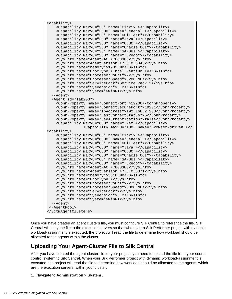```
Capability>
     <Capability maxVU="38" name="Citrix"></Capability>
     <Capability maxVU="3800" name="General"></Capability>
     <Capability maxVU="38" name="GuiLTest"></Capability>
     <Capability maxVU="380" name="Java"></Capability>
     <Capability maxVU="380" name="ODBC"></Capability>
     <Capability maxVU="380" name="Oracle OCI"></Capability>
     <Capability maxVU="38" name="SAPGUI"></Capability>
     <Capability maxVU="380" name="Tuxedo"></Capability>
     <SysInfo name="AgentRAC">7803300</SysInfo>
     <SysInfo name="AgentVersion">7.8.0.3343</SysInfo>
     <SysInfo name="Memory">1983 MB</SysInfo>
     <SysInfo name="ProcType">Intel Pentium IV</SysInfo>
     <SysInfo name="ProcessorCount">2</SysInfo>
     <SysInfo name="ProcessorSpeed">3200 MHz</SysInfo>
     <SysInfo name="ServicePack">Service Pack 2</SysInfo>
     <SysInfo name="SysVersion">5.2</SysInfo>
     <SysInfo name="System">WinNT</SysInfo>
   </Agent>
   <Agent id="lab203">
     <ConnProperty name="ConnectPort">19200</ConnProperty>
     <ConnProperty name="ConnectSecurePort">19201</ConnProperty>
     <ConnProperty name="IpAddress">192.168.2.203</ConnProperty>
     <ConnProperty name="LastConnectStatus">5</ConnProperty>
     <ConnProperty name="UseAuthentication">false</ConnProperty>
     <Capability maxVU="650" name=".Net"></Capability>
                 <Capability maxVU="100" name="Browser-driven"></
Capability>
     <Capability maxVU="65" name="Citrix"></Capability>
     <Capability maxVU="6500" name="General"></Capability>
     <Capability maxVU="65" name="GuiLTest"></Capability>
     <Capability maxVU="650" name="Java"></Capability>
     <Capability maxVU="650" name="ODBC"></Capability>
     <Capability maxVU="650" name="Oracle OCI"></Capability>
     <Capability maxVU="65" name="SAPGUI"></Capability>
     <Capability maxVU="650" name="Tuxedo"></Capability>
     <SysInfo name="AgentRAC">7803300</SysInfo>
     <SysInfo name="AgentVersion">7.8.0.3371</SysInfo>
     <SysInfo name="Memory">3318 MB</SysInfo>
     <SysInfo name="ProcType"></SysInfo>
     <SysInfo name="ProcessorCount">2</SysInfo>
     <SysInfo name="ProcessorSpeed">3000 MHz</SysInfo>
     <SysInfo name="ServicePack"></SysInfo>
     <SysInfo name="SysVersion">5.2</SysInfo>
     <SysInfo name="System">WinNT</SysInfo>
   </Agent>
  </AgentPool>
</SctmAgentClusters>
```
Once you have created an agent clusters file, you must configure Silk Central to reference the file. Silk Central will copy the file to the execution servers so that whenever a Silk Performer project with dynamic workload-assignment is executed, the project will read the file to determine how workload should be allocated to the agents within the cluster.

### **Uploading Your Agent-Cluster File to Silk Central**

After you have created the agent-cluster file for your project, you need to upload the file from your source control system to Silk Central. When your Silk Performer project with dynamic workload-assignment is executed, the project will read the file to determine how workload should be allocated to the agents, which are the execution servers, within your cluster.

```
1. Navigate to Administration > System .
```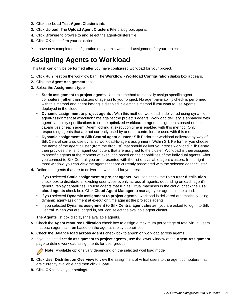- <span id="page-20-0"></span>**2.** Click the **Load Test Agent Clusters** tab.
- **3.** Click **Upload**. The **Upload Agent Clusters File** dialog box opens.
- **4.** Click **Browse** to browse to and select the agent-clusters file.
- **5.** Click **OK** to confirm your selection.

You have now completed configuration of dynamic workload-assignment for your project.

## **Assigning Agents to Workload**

This task can only be performed after you have configured workload for your project.

- **1.** Click **Run Test** on the workflow bar. The **Workflow Workload Configuration** dialog box appears.
- **2.** Click the **Agent Assignment** tab.
- **3.** Select the **Assignment type**:
	- **Static assignment to project agents** : Use this method to statically assign specific agent computers (rather than clusters of agents) to your project. No agent-availability check is performed with this method and agent locking is disabled. Select this method if you want to use Agents deployed in the cloud.
	- **Dynamic assignment to project agents** : With this method, workload is delivered using dynamic agent-assignment at execution time against the project's agents. Workload delivery is enhanced with agent-capability specifications to create optimized workload-to-agent assignments based on the capabilities of each agent. Agent locking at execution time is enabled with this method. Only responding agents that are not currently used by another controller are used with this method.
	- **Dynamic assignment to Silk Central agent cluster** : Silk Performer workload delivered by way of Silk Central can also use dynamic workload-to-agent assignment. Within Silk Performer you choose the name of the agent cluster (from the drop list) that should deliver your test's workload. Silk Central then provides the list of agent computers that are assigned to the cluster. Workload is then assigned to specific agents at the moment of execution based on the capabilities of the individual agents. After you connect to Silk Central, you are presented with the list of available agent clusters. In the rightmost window, you can view the agents that are currently associated with the selected agent cluster.
- **4.** Define the agents that are to deliver the workload for your test.
	- If you selected **Static assignment to project agents** , you can check the **Even user distribution** check box to distribute all existing user types evenly across all agents, depending on each agent's general replay capabilities. To use agents that run as virtual machines in the cloud, check the **Use cloud agents** check box. Click **Cloud Agent Manager** to manage your agents in the cloud.
	- If you selected **Dynamic assignment to project agents** , workload is delivered automatically using dynamic agent-assignment at execution time against the project's agents.
	- If you selected **Dynamic assignment to Silk Central agent cluster** , you are asked to log in to Silk Central. When you are logged in, you can select the available agent cluster.

The **Agents** list box displays the available agents.

- **5.** Check the **Agent resource utilization** check box to assign a maximum percentage of total virtual users that each agent can run based on the agent's replay capabilities.
- **6.** Check the **Balance load across agents** check box to apportion workload across agents.
- **7.** If you selected **Static assignment to project agents** , use the lower window of the **Agent Assignment** page to define workload assignments for user groups.

**Note:** Available options vary depending on the selected workload model.

- **8.** Click **User Distribution Overview** to view the assignment of virtual users to the agent computers that are currently available and then click **Close**.
- **9.** Click **OK** to save your settings.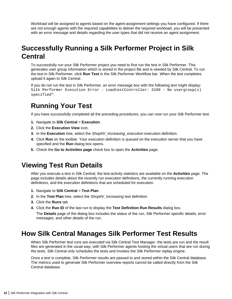<span id="page-21-0"></span>Workload will be assigned to agents based on the agent-assignment settings you have configured. If there are not enough agents with the required capabilities to deliver the required workload, you will be presented with an error message and details regarding the user types that did not receive an agent assignment.

## **Successfully Running a Silk Performer Project in Silk Central**

To successfully run your Silk Performer project you need to first run the test in Silk Performer. This generates user group information which is stored in the project file and is needed by Silk Central. To run the test in Silk Performer, click **Run Test** in the Silk Performer Workflow bar. When the test completes upload it again to Silk Central.

If you do not run the test in Silk Performer, an error message box with the following text might display: Silk Performer Execution Error - LoadtestController: 3109 - No usergroup(s) specified".

## **Running Your Test**

If you have successfully completed all the preceding procedures, you can now run your Silk Performer test.

- **1.** Navigate to Silk Central > Execution .
- **2.** Click the **Execution View** icon.
- **3.** In the **Execution** tree, select the ShopItV Increasing execution execution definition.
- **4.** Click **Run** on the toolbar. Your execution definition is queued on the execution server that you have specified and the **Run** dialog box opens.
- **5.** Check the **Go to Activities page** check box to open the **Activities** page.

### **Viewing Test Run Details**

After you execute a test in Silk Central, the test-activity statistics are available on the **Activities** page. The page includes details about the recently run execution definitions, the currently running execution definitions, and the execution definitions that are scheduled for execution.

- **1.** Navigate to Silk Central > Test Plan.
- **2.** In the **Test Plan** tree, select the ShopItV\_Increasing test definition.
- **3.** Click the **Runs** tab.
- **4.** Click the **Run ID** of the last run to display the **Test Definition Run Results** dialog box.

The **Details** page of the dialog box includes the status of the run, Silk Performer specific details, error messages, and other details of the run.

### **How Silk Central Manages Silk Performer Test Results**

When Silk Performer test runs are executed via Silk Central Test Manager, the tests are run and the result files are generated in the usual way, with Silk Performer agents hosting the virtual users that are run during the tests. Silk Central only schedules the tests and invokes the Silk Performer replay engine.

Once a test is complete, Silk Performer results are passed to and stored within the Silk Central database. The metrics used to generate Silk Performer overview reports cannot be called directly from the Silk Central database.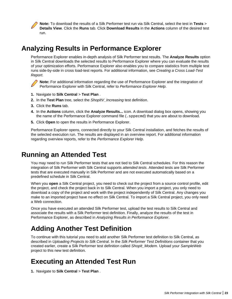<span id="page-22-0"></span>**Note:** To download the results of a Silk Performer test run via Silk Central, select the test in **Tests** > **Details View**. Click the **Runs** tab. Click **Download Results** in the **Actions** column of the desired test run.

## **Analyzing Results in Performance Explorer**

Performance Explorer enables in-depth analysis of Silk Performer test results. The **Analyze Results** option in Silk Central downloads the selected results to Performance Explorer where you can evaluate the results of your optimization efforts. Performance Explorer also enables you to compare statistics from multiple test runs side-by-side in cross load-test reports. For additional information, see Creating a Cross Load-Test Report.

**Note:** For additional information regarding the use of Performance Explorer and the integration of Performance Explorer with Silk Central, refer to Performance Explorer Help.

- **1.** Navigate to Silk Central > Test Plan.
- **2.** In the **Test Plan** tree, select the ShopItV\_Increasing test definition.
- **3.** Click the **Runs** tab.
- **4.** In the **Actions** column, click the **Analyze Results...** icon. A download dialog box opens, showing you the name of the Performance Explorer command file (. sppecmd) that you are about to download.
- **5.** Click **Open** to open the results in Performance Explorer.

Performance Explorer opens, connected directly to your Silk Central installation, and fetches the results of the selected execution run. The results are displayed in an overview report. For additional information regarding overview reports, refer to the Performance Explorer Help.

### **Running an Attended Test**

You may need to run Silk Performer tests that are not tied to Silk Central schedules. For this reason the integration of Silk Performer with Silk Central supports attended tests. Attended tests are Silk Performer tests that are executed manually in Silk Performer and are not executed automatically based on a predefined schedule in Silk Central.

When you **open** a Silk Central project, you need to check out the project from a source control profile, edit the project, and check the project back in to Silk Central. When you import a project, you only need to download a copy of the project and work with the project independently of Silk Central. Any changes you make to an imported project have no effect on Silk Central. To import a Silk Central project, you only need a Web connection.

Once you have executed an attended Silk Performer test, upload the test results to Silk Central and associate the results with a Silk Performer test definition. Finally, analyze the results of the test in Performance Explorer, as described in Analyzing Results in Performance Explorer.

## **Adding Another Test Definition**

To continue with this tutorial you need to add another Silk Performer test definition to Silk Central, as described in Uploading Projects to Silk Central. In the Silk Performer Test Definitions container that you created earlier, create a Silk Performer test definition called ShopIt\_Modem. Upload your SampleWeb project to this new test definition.

## **Executing an Attended Test Run**

**1.** Navigate to Silk Central > Test Plan.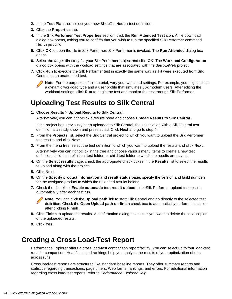- <span id="page-23-0"></span>**2.** In the Test Plan tree, select your new ShopIt Modem test definition.
- **3.** Click the **Properties** tab.
- **4.** In the **Silk Performer Test Properties** section, click the **Run Attended Test** icon. A file download dialog box opens, asking you to confirm that you wish to run the specified Silk Performer command file, .spwbcmd.
- **5.** Click **OK** to open the file in Silk Performer. Silk Performer is invoked. The **Run Attended** dialog box opens.
- **6.** Select the target directory for your Silk Performer project and click **OK**. The **Workload Configuration** dialog box opens with the worload settings that are associated with the SampleWeb project..
- **7.** Click **Run** to execute the Silk Performer test in exactly the same way as if it were executed from Silk Central as an unattended test.



**Note:** For the purposes of this tutorial, vary your workload settings. For example, you might select a dynamic workload type and a user profile that simulates 56k modem users. After editing the workload settings, click **Run** to begin the test and monitor the test through Silk Performer.

### **Uploading Test Results to Silk Central**

**1.** Choose **Results** > **Upload Results to Silk Central** .

Alternatively, you can right-click a results node and choose **Upload Results to Silk Central** .

If the project has previously been uploaded to Silk Central, the association with a Silk Central test definition is already known and preselected. Click **Next** and go to step 4.

- **2.** From the **Projects** list, select the Silk Central project to which you want to upload the Silk Performer test results and click **Next**.
- **3.** From the menu tree, select the test definition to which you want to upload the results and click **Next**. Alternatively you can right-click in the tree and choose various menu items to create a new test definition, child test definition, test folder, or child test folder to which the results are saved.
- **4.** On the **Select results** page, check the appropriate check boxes in the **Results** list to select the results to upload along with the project.
- **5.** Click **Next**.
- **6.** On the **Specify product information and result status** page, specify the version and build numbers for the assigned product to which the uploaded results belong.
- **7.** Check the checkbox **Enable automatic test result upload** to let Silk Performer upload test results automatically after each test run.



- **8.** Click **Finish** to upload the results. A confirmation dialog box asks if you want to delete the local copies of the uploaded results.
- **9.** Click **Yes**.

### **Creating a Cross Load-Test Report**

Performance Explorer offers a cross load-test comparison report facility. You can select up to four load-test runs for comparison. Heat fields and rankings help you analyze the results of your optimization efforts across runs.

Cross load-test reports are structured like standard baseline reports. They offer summary reports and statistics regarding transactions, page timers, Web forms, rankings, and errors. For additional information regarding cross load-test reports, refer to Performance Explorer Help.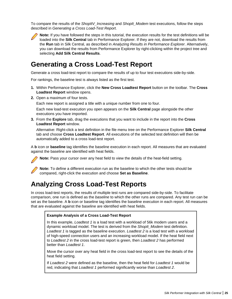<span id="page-24-0"></span>To compare the results of the ShopItV Increasing and ShopIt Modem test executions, follow the steps described in Generating a Cross Load-Test Report.



**Note:** If you have followed the steps in this tutorial, the execution results for the test definitions will be loaded into the **Silk Central** tab in Performance Explorer. If they are not, download the results from the **Run** tab in Silk Central, as described in Analyzing Results in Performance Explorer. Alternatively, you can download the results from Performance Explorer by right-clicking within the project tree and selecting **Add Silk Central Results**.

## **Generating a Cross Load-Test Report**

Generate a cross load-test report to compare the results of up to four test executions side-by-side.

For rankings, the baseline test is always listed as the first test.

- **1.** Within Performance Explorer, click the **New Cross Loadtest Report** button on the toolbar. The **Cross Loadtest Report** window opens.
- **2.** Open a maximum of four tests.

Each new report is assigned a title with a unique number from one to four.

Each new load-test execution you open appears on the **Silk Central** page alongside the other executions you have imported.

**3.** From the **Explore** tab, drag the executions that you want to include in the report into the **Cross Loadtest Report** window.

Alternative: Right-click a test definition in the file menu tree on the Performance Explorer **Silk Central** tab and choose **Cross Loadtest Report**. All executions of the selected test definition will then be automatically added to a cross load-test report.

A **b** icon or **baseline** tag identifies the baseline execution in each report. All measures that are evaluated against the baseline are identified with heat fields.



**Note:** Pass your cursor over any heat field to view the details of the heat-field setting.



**Note:** To define a different execution run as the baseline to which the other tests should be compared, right-click the execution and choose **Set as Baseline**.

## **Analyzing Cross Load-Test Reports**

In cross load-test reports, the results of multiple test runs are compared side-by-side. To facilitate comparison, one run is defined as the baseline to which the other runs are compared. Any test run can be set as the baseline. A **b** icon or baseline tag identifies the baseline execution in each report. All measures that are evaluated against the baseline are identified with heat fields.

#### **Example Analysis of a Cross Load-Test Report**

In this example, *Loadtest 1* is a load test with a workload of 56k modem users and a dynamic workload model. The test is derived from the ShopIt Modem test definition. Loadtest 1 is tagged as the baseline execution. Loadtest 2 is a load test with a workload of high-speed connection users and an increasing workload model. If the heat field next to Loadtest 2 in the cross load-test report is green, then Loadtest 2 has performed better than Loadtest 1.

Move the cursor over any heat field in the cross load-test report to see the details of the heat field setting.

If Loadtest 2 were defined as the baseline, then the heat field for Loadtest 1 would be red, indicating that Loadtest 1 performed significantly worse than Loadtest 2.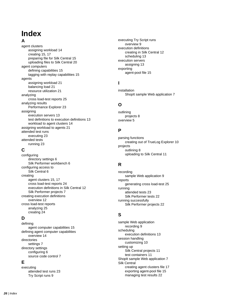## **Index**

#### **A**

agent clusters assigning workload [14](#page-13-0) creating [15](#page-14-0), [17](#page-16-0) preparing file for Silk Central [15](#page-14-0) uploading files to Silk Central [20](#page-19-0) agent computers defining capabilities [15](#page-14-0) tagging with replay capabilities [15](#page-14-0) agents assigning workload [21](#page-20-0) balancing load [21](#page-20-0) resource utilization [21](#page-20-0) analyzing cross load-test reports [25](#page-24-0) analyzing results Performance Explorer [23](#page-22-0) assigning execution servers [13](#page-12-0) test definitions to execution definitions [13](#page-12-0) workload to agent clusters [14](#page-13-0) assigning workload to agents [21](#page-20-0) attended test runs executing [23](#page-22-0) attended tests running [23](#page-22-0)

### **C**

configuring directory settings [6](#page-5-0) Silk Performer workbench [6](#page-5-0) configuring access to Silk Central [6](#page-5-0) creating agent clusters [15](#page-14-0), [17](#page-16-0) cross load-test reports [24](#page-23-0) execution definitions in Silk Central [12](#page-11-0) Silk Performer projects [7](#page-6-0) creating execution definitions overview [12](#page-11-0) cross load-test reports analyzing [25](#page-24-0) creating [24](#page-23-0)

### **D**

defining agent computer capabilities [15](#page-14-0) defining agent computer capabilities overview [14](#page-13-0) directories settings [7](#page-6-0) directory settings configuring [6](#page-5-0) source code control [7](#page-6-0)

### **E**

executing attended test runs [23](#page-22-0) Try Script runs [9](#page-8-0)

executing Try Script runs overview [9](#page-8-0) execution definitions creating in Silk Central [12](#page-11-0) scheduling [13](#page-12-0) execution servers assigning [13](#page-12-0) exporting agent-pool file [15](#page-14-0)

### **I**

installation ShopIt sample Web application [7](#page-6-0)

### **O**

outlining projects [8](#page-7-0) overview [5](#page-4-0)

### **P**

parsing functions creating out of TrueLog Explorer [10](#page-9-0) projects outlining [8](#page-7-0) uploading to Silk Central [11](#page-10-0)

### **R**

recording sample Web application [9](#page-8-0) reports generating cross load-test [25](#page-24-0) running attended tests [23](#page-22-0) Silk Performer tests [22](#page-21-0) running successfully Silk Performer projects [22](#page-21-0)

### **S**

sample Web application recording [9](#page-8-0) scheduling execution definitions [13](#page-12-0) session handling customizing [10](#page-9-0) setting up Silk Central projects [11](#page-10-0) test containers [11](#page-10-0) ShopIt sample Web application [7](#page-6-0) Silk Central creating agent clusters file [17](#page-16-0) exporting agent-pool file [15](#page-14-0) managing test results [22](#page-21-0)